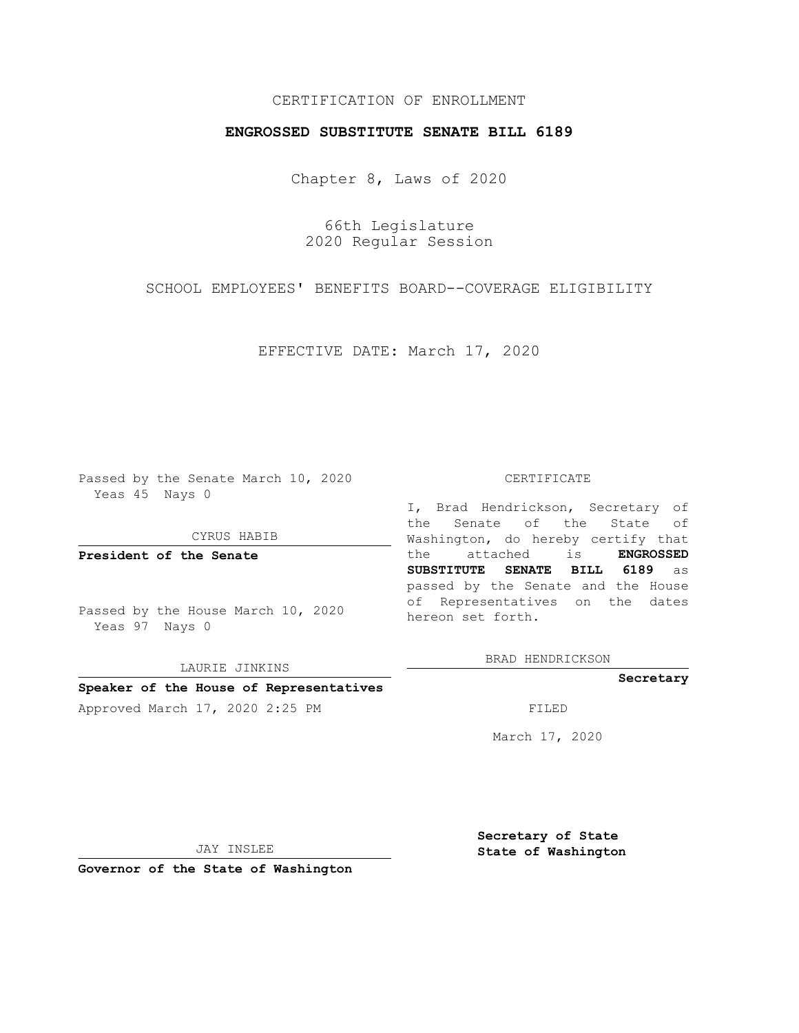# CERTIFICATION OF ENROLLMENT

## **ENGROSSED SUBSTITUTE SENATE BILL 6189**

Chapter 8, Laws of 2020

66th Legislature 2020 Regular Session

SCHOOL EMPLOYEES' BENEFITS BOARD--COVERAGE ELIGIBILITY

EFFECTIVE DATE: March 17, 2020

Passed by the Senate March 10, 2020 Yeas 45 Nays 0

CYRUS HABIB

**President of the Senate**

Passed by the House March 10, 2020 Yeas 97 Nays 0

LAURIE JINKINS

### **Speaker of the House of Representatives**

Approved March 17, 2020 2:25 PM FILED

#### CERTIFICATE

I, Brad Hendrickson, Secretary of the Senate of the State of Washington, do hereby certify that the attached is **ENGROSSED SUBSTITUTE SENATE BILL 6189** as passed by the Senate and the House of Representatives on the dates hereon set forth.

BRAD HENDRICKSON

**Secretary**

March 17, 2020

JAY INSLEE

**Governor of the State of Washington**

**Secretary of State State of Washington**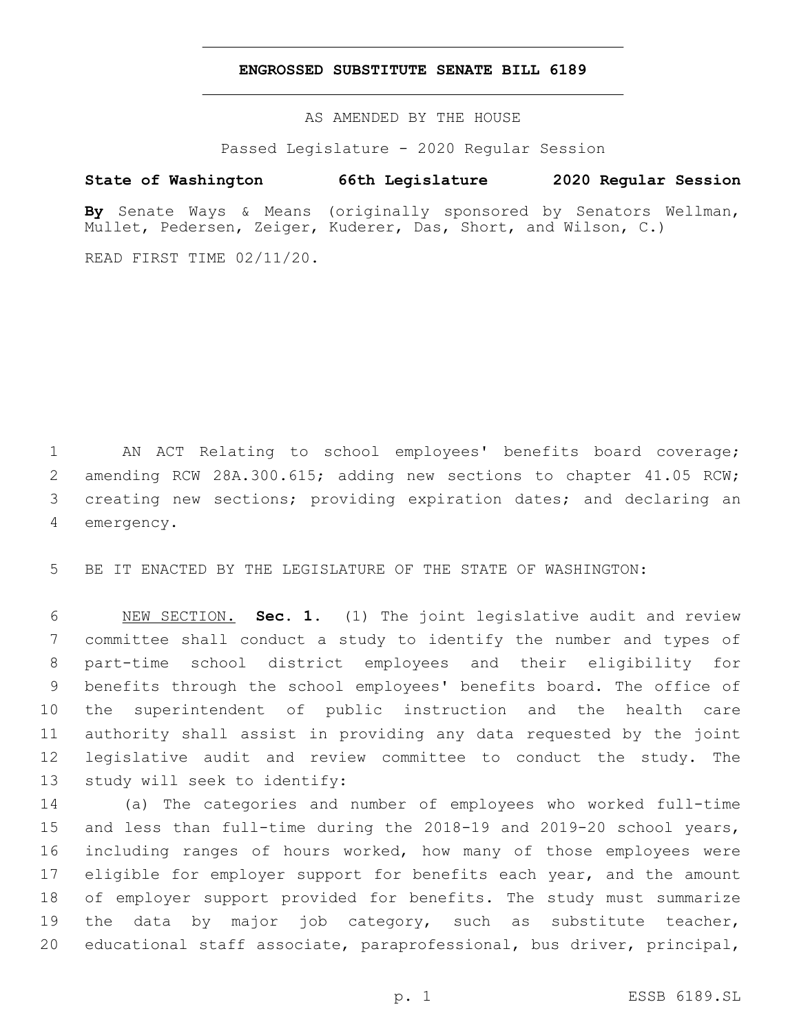## **ENGROSSED SUBSTITUTE SENATE BILL 6189**

AS AMENDED BY THE HOUSE

Passed Legislature - 2020 Regular Session

# **State of Washington 66th Legislature 2020 Regular Session**

**By** Senate Ways & Means (originally sponsored by Senators Wellman, Mullet, Pedersen, Zeiger, Kuderer, Das, Short, and Wilson, C.)

READ FIRST TIME 02/11/20.

1 AN ACT Relating to school employees' benefits board coverage; 2 amending RCW 28A.300.615; adding new sections to chapter 41.05 RCW; 3 creating new sections; providing expiration dates; and declaring an 4 emergency.

5 BE IT ENACTED BY THE LEGISLATURE OF THE STATE OF WASHINGTON:

 NEW SECTION. **Sec. 1.** (1) The joint legislative audit and review committee shall conduct a study to identify the number and types of part-time school district employees and their eligibility for benefits through the school employees' benefits board. The office of the superintendent of public instruction and the health care authority shall assist in providing any data requested by the joint legislative audit and review committee to conduct the study. The study will seek to identify:

 (a) The categories and number of employees who worked full-time and less than full-time during the 2018-19 and 2019-20 school years, including ranges of hours worked, how many of those employees were 17 eligible for employer support for benefits each year, and the amount of employer support provided for benefits. The study must summarize 19 the data by major job category, such as substitute teacher, educational staff associate, paraprofessional, bus driver, principal,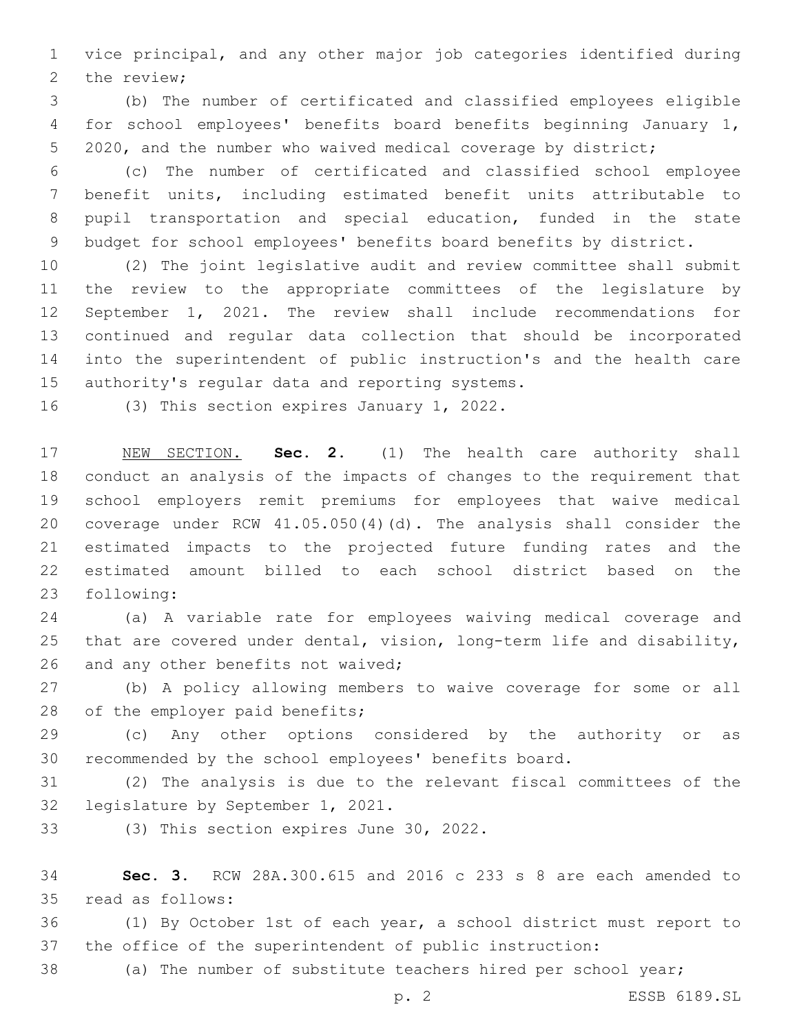vice principal, and any other major job categories identified during 2 the review;

 (b) The number of certificated and classified employees eligible for school employees' benefits board benefits beginning January 1, 2020, and the number who waived medical coverage by district;

 (c) The number of certificated and classified school employee benefit units, including estimated benefit units attributable to pupil transportation and special education, funded in the state budget for school employees' benefits board benefits by district.

 (2) The joint legislative audit and review committee shall submit the review to the appropriate committees of the legislature by September 1, 2021. The review shall include recommendations for continued and regular data collection that should be incorporated into the superintendent of public instruction's and the health care 15 authority's regular data and reporting systems.

16 (3) This section expires January 1, 2022.

 NEW SECTION. **Sec. 2.** (1) The health care authority shall conduct an analysis of the impacts of changes to the requirement that school employers remit premiums for employees that waive medical coverage under RCW 41.05.050(4)(d). The analysis shall consider the estimated impacts to the projected future funding rates and the estimated amount billed to each school district based on the following:

 (a) A variable rate for employees waiving medical coverage and that are covered under dental, vision, long-term life and disability, 26 and any other benefits not waived;

 (b) A policy allowing members to waive coverage for some or all 28 of the employer paid benefits;

 (c) Any other options considered by the authority or as recommended by the school employees' benefits board.

 (2) The analysis is due to the relevant fiscal committees of the 32 legislature by September 1, 2021.

(3) This section expires June 30, 2022.

 **Sec. 3.** RCW 28A.300.615 and 2016 c 233 s 8 are each amended to read as follows:35

 (1) By October 1st of each year, a school district must report to the office of the superintendent of public instruction:

(a) The number of substitute teachers hired per school year;

p. 2 ESSB 6189.SL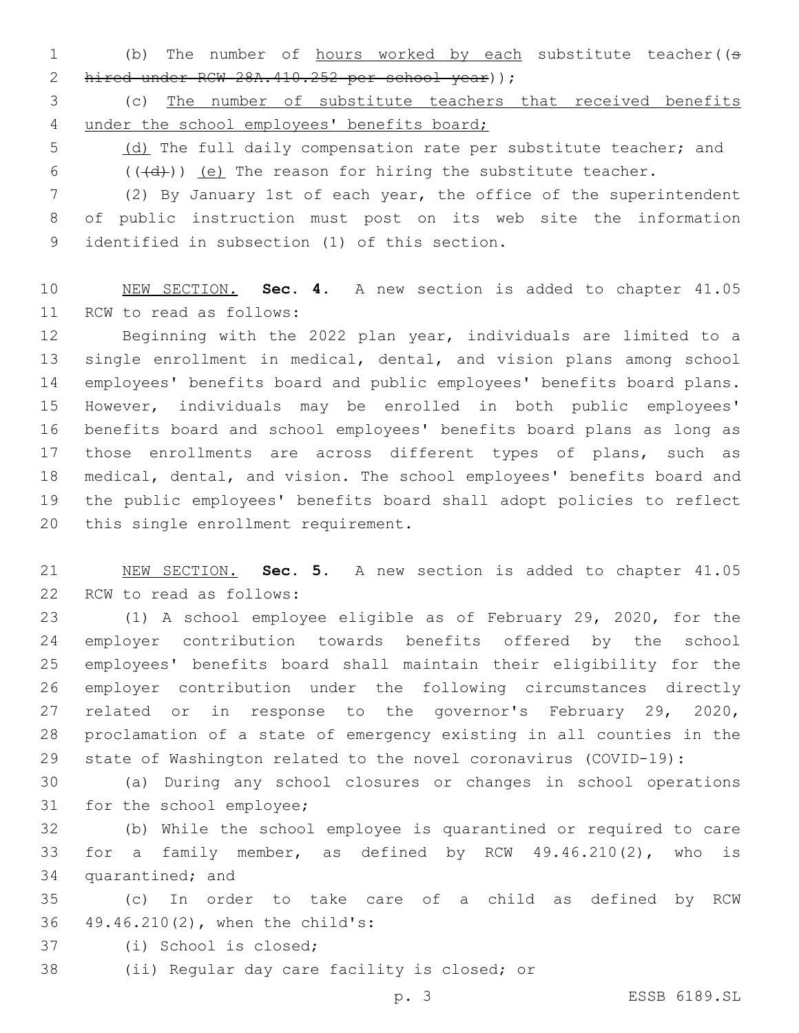1 (b) The number of hours worked by each substitute teacher((s 2 hired under RCW 28A.410.252 per school year) );

 (c) The number of substitute teachers that received benefits under the school employees' benefits board;

5 (d) The full daily compensation rate per substitute teacher; and  $($   $((\{d\}) )$   $(e)$  The reason for hiring the substitute teacher.

 (2) By January 1st of each year, the office of the superintendent of public instruction must post on its web site the information 9 identified in subsection (1) of this section.

 NEW SECTION. **Sec. 4.** A new section is added to chapter 41.05 11 RCW to read as follows:

 Beginning with the 2022 plan year, individuals are limited to a single enrollment in medical, dental, and vision plans among school employees' benefits board and public employees' benefits board plans. However, individuals may be enrolled in both public employees' benefits board and school employees' benefits board plans as long as those enrollments are across different types of plans, such as medical, dental, and vision. The school employees' benefits board and the public employees' benefits board shall adopt policies to reflect 20 this single enrollment requirement.

 NEW SECTION. **Sec. 5.** A new section is added to chapter 41.05 22 RCW to read as follows:

 (1) A school employee eligible as of February 29, 2020, for the employer contribution towards benefits offered by the school employees' benefits board shall maintain their eligibility for the employer contribution under the following circumstances directly related or in response to the governor's February 29, 2020, proclamation of a state of emergency existing in all counties in the state of Washington related to the novel coronavirus (COVID-19):

 (a) During any school closures or changes in school operations 31 for the school employee;

 (b) While the school employee is quarantined or required to care for a family member, as defined by RCW 49.46.210(2), who is 34 quarantined; and

 (c) In order to take care of a child as defined by RCW 36 49.46.210(2), when the child's:

- 37 (i) School is closed;
- 38 (ii) Regular day care facility is closed; or